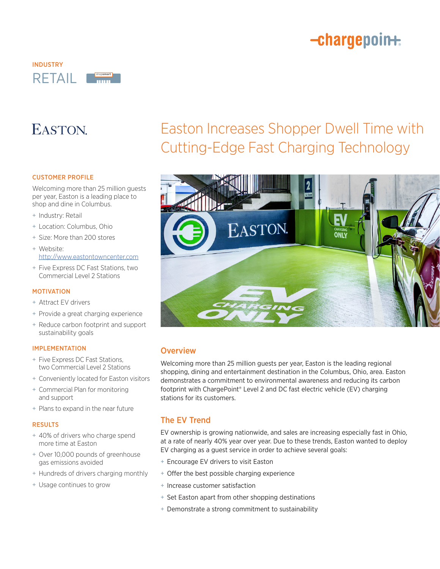# -chargepoin+



## EASTON.

### CUSTOMER PROFILE

Welcoming more than 25 million guests per year, Easton is a leading place to shop and dine in Columbus.

- + Industry: Retail
- + Location: Columbus, Ohio
- + Size: More than 200 stores
- + Website: http://www.eastontowncenter.com
- + Five Express DC Fast Stations, two Commercial Level 2 Stations

### MOTIVATION

- + Attract EV drivers
- + Provide a great charging experience
- + Reduce carbon footprint and support sustainability goals

### IMPLEMENTATION

- + Five Express DC Fast Stations, two Commercial Level 2 Stations
- + Conveniently located for Easton visitors
- + Commercial Plan for monitoring and support
- + Plans to expand in the near future

#### RESULTS

- + 40% of drivers who charge spend more time at Easton
- + Over 10,000 pounds of greenhouse gas emissions avoided
- + Hundreds of drivers charging monthly
- + Usage continues to grow

# Easton Increases Shopper Dwell Time with Cutting-Edge Fast Charging Technology



## **Overview**

Welcoming more than 25 million guests per year, Easton is the leading regional shopping, dining and entertainment destination in the Columbus, Ohio, area. Easton demonstrates a commitment to environmental awareness and reducing its carbon footprint with ChargePoint® Level 2 and DC fast electric vehicle (EV) charging stations for its customers.

## The EV Trend

EV ownership is growing nationwide, and sales are increasing especially fast in Ohio, at a rate of nearly 40% year over year. Due to these trends, Easton wanted to deploy EV charging as a guest service in order to achieve several goals:

- + Encourage EV drivers to visit Easton
- + Offer the best possible charging experience
- + Increase customer satisfaction
- + Set Easton apart from other shopping destinations
- + Demonstrate a strong commitment to sustainability